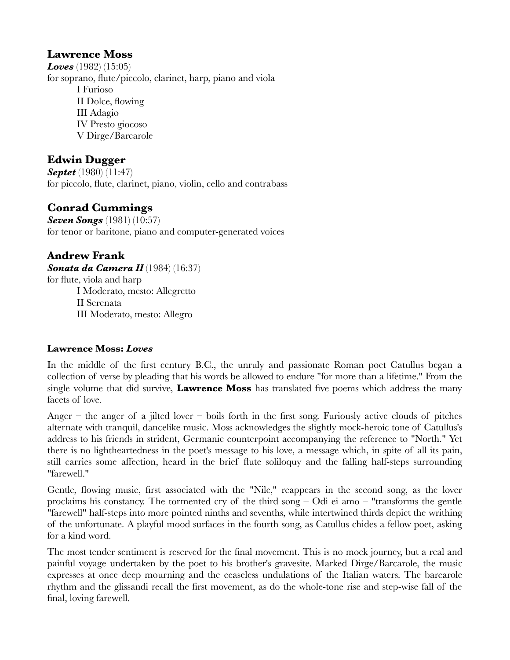# **Lawrence Moss**

*Loves* (1982) (15:05) for soprano, flute/piccolo, clarinet, harp, piano and viola I Furioso II Dolce, flowing III Adagio IV Presto giocoso V Dirge/Barcarole

# **Edwin Dugger**

*Septet* (1980) (11:47) for piccolo, flute, clarinet, piano, violin, cello and contrabass

# **Conrad Cummings**

*Seven Songs* (1981) (10:57) for tenor or baritone, piano and computer-generated voices

**Andrew Frank** *Sonata da Camera II* (1984) (16:37) for flute, viola and harp I Moderato, mesto: Allegretto II Serenata III Moderato, mesto: Allegro

## **Lawrence Moss:** *Loves*

In the middle of the first century B.C., the unruly and passionate Roman poet Catullus began a collection of verse by pleading that his words be allowed to endure "for more than a lifetime." From the single volume that did survive, **Lawrence Moss** has translated five poems which address the many facets of love.

Anger – the anger of a jilted lover – boils forth in the first song. Furiously active clouds of pitches alternate with tranquil, dancelike music. Moss acknowledges the slightly mock-heroic tone of Catullus's address to his friends in strident, Germanic counterpoint accompanying the reference to "North." Yet there is no lightheartedness in the poet's message to his love, a message which, in spite of all its pain, still carries some affection, heard in the brief flute soliloquy and the falling half-steps surrounding "farewell."

Gentle, flowing music, first associated with the "Nile," reappears in the second song, as the lover proclaims his constancy. The tormented cry of the third song – Odi ei amo – "transforms the gentle "farewell" half-steps into more pointed ninths and sevenths, while intertwined thirds depict the writhing of the unfortunate. A playful mood surfaces in the fourth song, as Catullus chides a fellow poet, asking for a kind word.

The most tender sentiment is reserved for the final movement. This is no mock journey, but a real and painful voyage undertaken by the poet to his brother's gravesite. Marked Dirge/Barcarole, the music expresses at once deep mourning and the ceaseless undulations of the Italian waters. The barcarole rhythm and the glissandi recall the first movement, as do the whole-tone rise and step-wise fall of the final, loving farewell.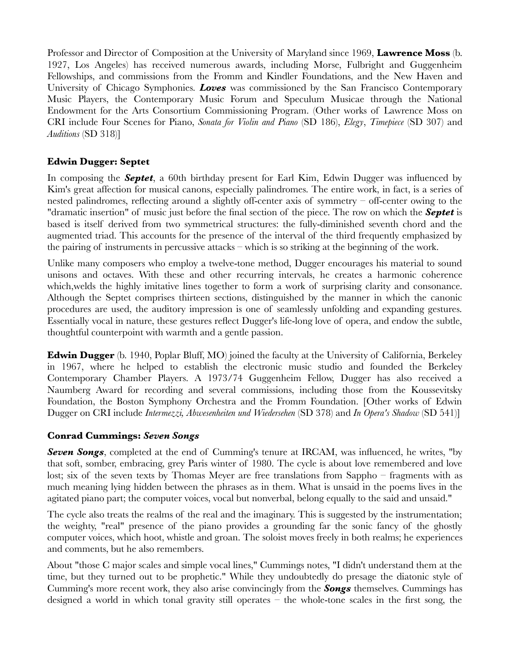Professor and Director of Composition at the University of Maryland since 1969, **Lawrence Moss** (b. 1927, Los Angeles) has received numerous awards, including Morse, Fulbright and Guggenheim Fellowships, and commissions from the Fromm and Kindler Foundations, and the New Haven and University of Chicago Symphonies. *Loves* was commissioned by the San Francisco Contemporary Music Players, the Contemporary Music Forum and Speculum Musicae through the National Endowment for the Arts Consortium Commissioning Program. (Other works of Lawrence Moss on CRI include Four Scenes for Piano, *Sonata for Violin and Piano* (SD 186), *Elegy*, *Timepiece* (SD 307) and *Auditions* (SD 318)]

### **Edwin Dugger: Septet**

In composing the *Septet*, a 60th birthday present for Earl Kim, Edwin Dugger was influenced by Kim's great affection for musical canons, especially palindromes. The entire work, in fact, is a series of nested palindromes, reflecting around a slightly off-center axis of symmetry – off-center owing to the "dramatic insertion" of music just before the final section of the piece. The row on which the *Septet* is based is itself derived from two symmetrical structures: the fully-diminished seventh chord and the augmented triad. This accounts for the presence of the interval of the third frequently emphasized by the pairing of instruments in percussive attacks – which is so striking at the beginning of the work.

Unlike many composers who employ a twelve-tone method, Dugger encourages his material to sound unisons and octaves. With these and other recurring intervals, he creates a harmonic coherence which, welds the highly imitative lines together to form a work of surprising clarity and consonance. Although the Septet comprises thirteen sections, distinguished by the manner in which the canonic procedures are used, the auditory impression is one of seamlessly unfolding and expanding gestures. Essentially vocal in nature, these gestures reflect Dugger's life-long love of opera, and endow the subtle, thoughtful counterpoint with warmth and a gentle passion.

**Edwin Dugger** (b. 1940, Poplar Bluff, MO) joined the faculty at the University of California, Berkeley in 1967, where he helped to establish the electronic music studio and founded the Berkeley Contemporary Chamber Players. A 1973/74 Guggenheim Fellow, Dugger has also received a Naumberg Award for recording and several commissions, including those from the Koussevitsky Foundation, the Boston Symphony Orchestra and the Fromm Foundation. [Other works of Edwin Dugger on CRI include *Intermezzi, Abwesenheiten und Wiedersehen* (SD 378) and *In Opera's Shadow* (SD 541)]

### **Conrad Cummings:** *Seven Songs*

*Seven Songs*, completed at the end of Cumming's tenure at IRCAM, was influenced, he writes, "by that soft, somber, embracing, grey Paris winter of 1980. The cycle is about love remembered and love lost; six of the seven texts by Thomas Meyer are free translations from Sappho – fragments with as much meaning lying hidden between the phrases as in them. What is unsaid in the poems lives in the agitated piano part; the computer voices, vocal but nonverbal, belong equally to the said and unsaid."

The cycle also treats the realms of the real and the imaginary. This is suggested by the instrumentation; the weighty, "real" presence of the piano provides a grounding far the sonic fancy of the ghostly computer voices, which hoot, whistle and groan. The soloist moves freely in both realms; he experiences and comments, but he also remembers.

About "those C major scales and simple vocal lines," Cummings notes, "I didn't understand them at the time, but they turned out to be prophetic." While they undoubtedly do presage the diatonic style of Cumming's more recent work, they also arise convincingly from the *Songs* themselves. Cummings has designed a world in which tonal gravity still operates – the whole-tone scales in the first song, the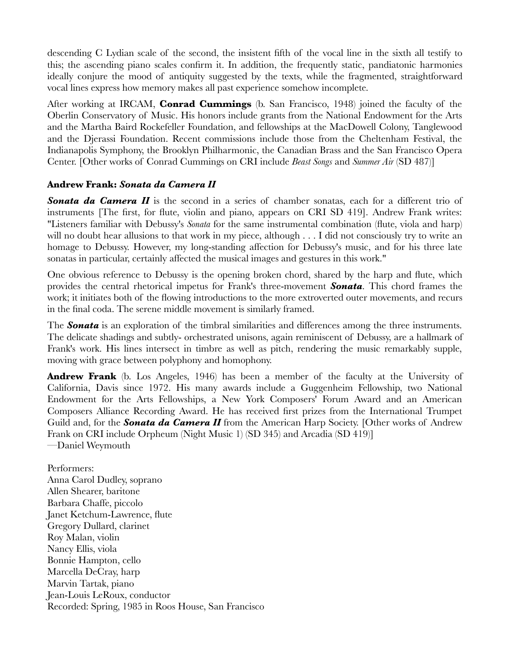descending C Lydian scale of the second, the insistent fifth of the vocal line in the sixth all testify to this; the ascending piano scales confirm it. In addition, the frequently static, pandiatonic harmonies ideally conjure the mood of antiquity suggested by the texts, while the fragmented, straightforward vocal lines express how memory makes all past experience somehow incomplete.

After working at IRCAM, **Conrad Cummings** (b. San Francisco, 1948) joined the faculty of the Oberlin Conservatory of Music. His honors include grants from the National Endowment for the Arts and the Martha Baird Rockefeller Foundation, and fellowships at the MacDowell Colony, Tanglewood and the Djerassi Foundation. Recent commissions include those from the Cheltenham Festival, the Indianapolis Symphony, the Brooklyn Philharmonic, the Canadian Brass and the San Francisco Opera Center. [Other works of Conrad Cummings on CRI include *Beast Songs* and *Summer Air* (SD 487)]

### **Andrew Frank:** *Sonata da Camera II*

*Sonata da Camera II* is the second in a series of chamber sonatas, each for a different trio of instruments [The first, for flute, violin and piano, appears on CRI SD 419]. Andrew Frank writes: "Listeners familiar with Debussy's *Sonata* for the same instrumental combination (flute, viola and harp) will no doubt hear allusions to that work in my piece, although . . . I did not consciously try to write an homage to Debussy. However, my long-standing affection for Debussy's music, and for his three late sonatas in particular, certainly affected the musical images and gestures in this work."

One obvious reference to Debussy is the opening broken chord, shared by the harp and flute, which provides the central rhetorical impetus for Frank's three-movement *Sonata*. This chord frames the work; it initiates both of the flowing introductions to the more extroverted outer movements, and recurs in the final coda. The serene middle movement is similarly framed.

The *Sonata* is an exploration of the timbral similarities and differences among the three instruments. The delicate shadings and subtly- orchestrated unisons, again reminiscent of Debussy, are a hallmark of Frank's work. His lines intersect in timbre as well as pitch, rendering the music remarkably supple, moving with grace between polyphony and homophony.

**Andrew Frank** (b. Los Angeles, 1946) has been a member of the faculty at the University of California, Davis since 1972. His many awards include a Guggenheim Fellowship, two National Endowment for the Arts Fellowships, a New York Composers' Forum Award and an American Composers Alliance Recording Award. He has received first prizes from the International Trumpet Guild and, for the *Sonata da Camera II* from the American Harp Society. [Other works of Andrew Frank on CRI include Orpheum (Night Music 1) (SD 345) and Arcadia (SD 419)] —Daniel Weymouth

Performers: Anna Carol Dudley, soprano Allen Shearer, baritone Barbara Chaffe, piccolo Janet Ketchum-Lawrence, flute Gregory Dullard, clarinet Roy Malan, violin Nancy Ellis, viola Bonnie Hampton, cello Marcella DeCray, harp Marvin Tartak, piano Jean-Louis LeRoux, conductor Recorded: Spring, 1985 in Roos House, San Francisco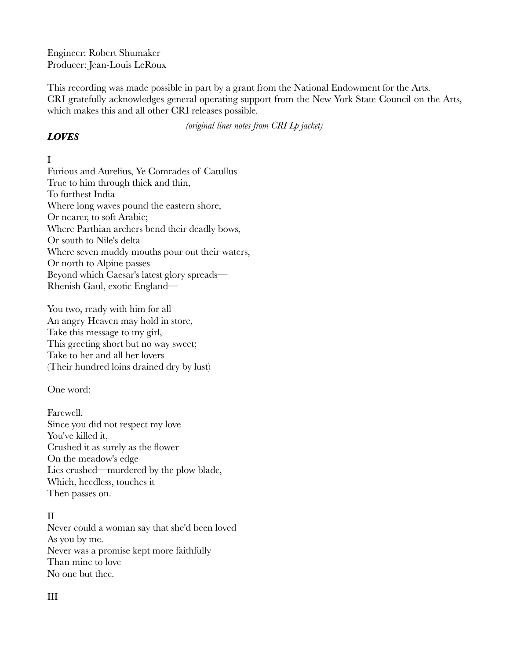Engineer: Robert Shumaker Producer: Jean-Louis LeRoux

This recording was made possible in part by a grant from the National Endowment for the Arts. CRI gratefully acknowledges general operating support from the New York State Council on the Arts, which makes this and all other CRI releases possible.

*(original liner notes from CRI Lp jacket)*

### *LOVES*

## I

Furious and Aurelius, Ye Comrades of Catullus True to him through thick and thin, To furthest India Where long waves pound the eastern shore, Or nearer, to soft Arabic; Where Parthian archers bend their deadly bows, Or south to Nile's delta Where seven muddy mouths pour out their waters, Or north to Alpine passes Beyond which Caesar's latest glory spreads— Rhenish Gaul, exotic England—

You two, ready with him for all An angry Heaven may hold in store, Take this message to my girl, This greeting short but no way sweet; Take to her and all her lovers (Their hundred loins drained dry by lust)

One word:

Farewell. Since you did not respect my love You've killed it, Crushed it as surely as the flower On the meadow's edge Lies crushed—murdered by the plow blade, Which, heedless, touches it Then passes on.

## II

Never could a woman say that she'd been loved As you by me. Never was a promise kept more faithfully Than mine to love No one but thee.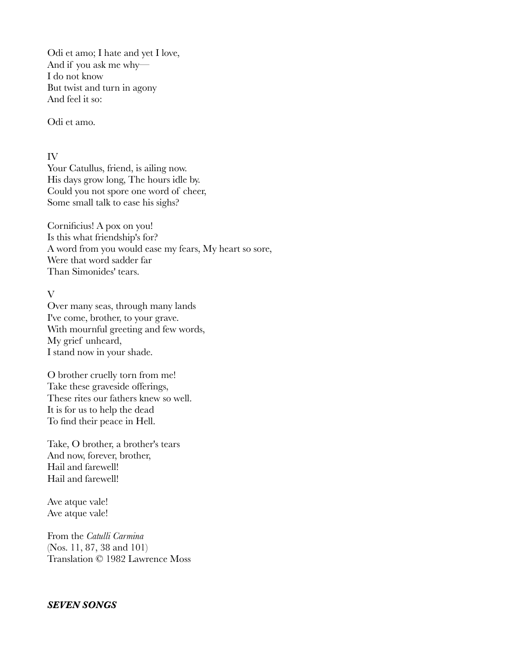Odi et amo; I hate and yet I love, And if you ask me why— I do not know But twist and turn in agony And feel it so:

Odi et amo.

IV

Your Catullus, friend, is ailing now. His days grow long, The hours idle by. Could you not spore one word of cheer, Some small talk to ease his sighs?

Cornificius! A pox on you! Is this what friendship's for? A word from you would ease my fears, My heart so sore, Were that word sadder far Than Simonides' tears.

#### V

Over many seas, through many lands I've come, brother, to your grave. With mournful greeting and few words, My grief unheard, I stand now in your shade.

O brother cruelly torn from me! Take these graveside offerings, These rites our fathers knew so well. It is for us to help the dead To find their peace in Hell.

Take, O brother, a brother's tears And now, forever, brother, Hail and farewell! Hail and farewell!

Ave atque vale! Ave atque vale!

From the *Catulli Carmina* (Nos. 11, 87, 38 and 101) Translation © 1982 Lawrence Moss

### *SEVEN SONGS*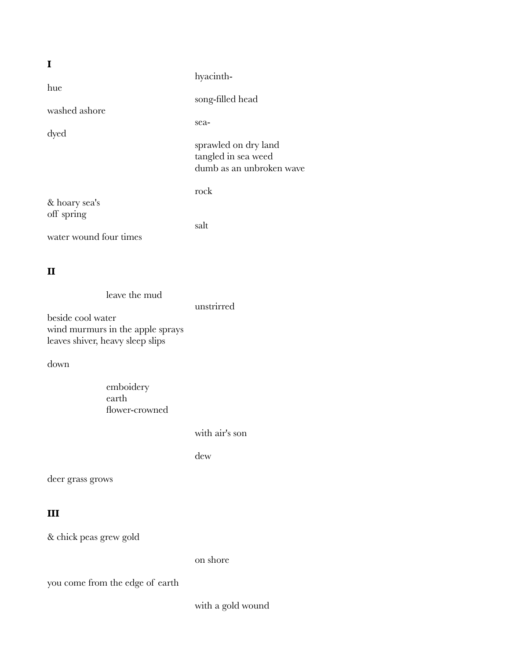|                        | hyacinth-                                       |
|------------------------|-------------------------------------------------|
| hue                    |                                                 |
|                        | song-filled head                                |
| washed ashore          |                                                 |
|                        | sea-                                            |
| dyed                   |                                                 |
|                        | sprawled on dry land                            |
|                        | tangled in sea weed<br>dumb as an unbroken wave |
|                        |                                                 |
|                        | rock                                            |
| & hoary sea's          |                                                 |
| off spring             |                                                 |
|                        | salt                                            |
| water wound four times |                                                 |
|                        |                                                 |

## **II**

| leave the mud                    |            |
|----------------------------------|------------|
|                                  | unstrirred |
| beside cool water                |            |
| wind murmurs in the apple sprays |            |
| leaves shiver, heavy sleep slips |            |

down

| emboidery      |  |
|----------------|--|
| earth          |  |
| flower-crowned |  |

with air's son

dew

deer grass grows

## **III**

& chick peas grew gold

on shore

you come from the edge of earth

with a gold wound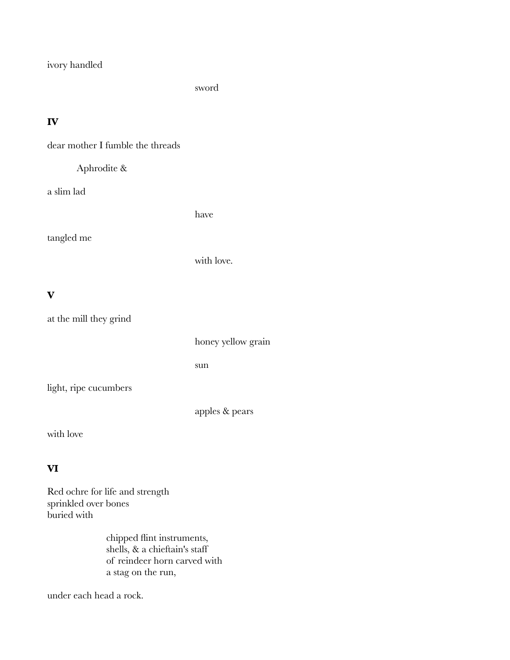ivory handled

sword

# **IV**

dear mother I fumble the threads

## Aphrodite &

a slim lad

have

tangled me

with love.

## **V**

| at the mill they grind |                    |
|------------------------|--------------------|
|                        | honey yellow grain |
|                        | sun                |
| light, ripe cucumbers  |                    |
|                        | apples & pears     |

with love

# **VI**

Red ochre for life and strength sprinkled over bones buried with

> chipped flint instruments, shells, & a chieftain's staff of reindeer horn carved with a stag on the run,

under each head a rock.